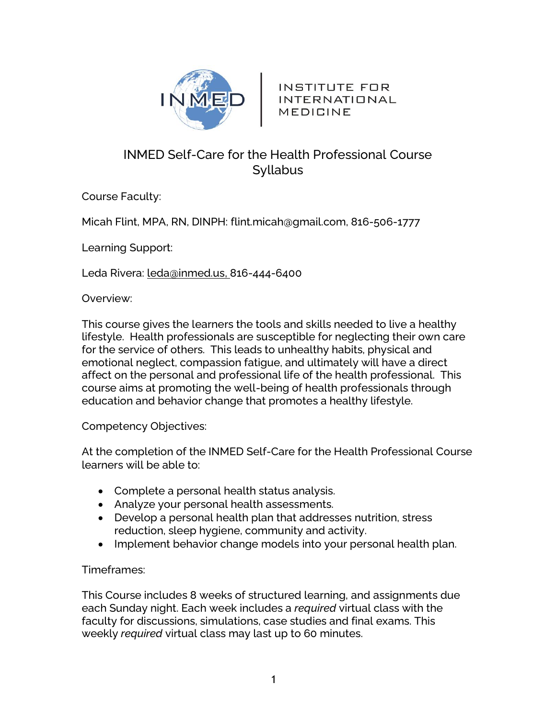

INSTITUTE FOR INTERNATIONAL MEDICINE

# INMED Self-Care for the Health Professional Course Syllabus

Course Faculty:

Micah Flint, MPA, RN, DINPH: flint.micah@gmail.com, 816-506-1777

Learning Support:

Leda Rivera: [leda@inmed.us,](mailto:leda@inmed.us) 816-444-6400

Overview:

This course gives the learners the tools and skills needed to live a healthy lifestyle. Health professionals are susceptible for neglecting their own care for the service of others. This leads to unhealthy habits, physical and emotional neglect, compassion fatigue, and ultimately will have a direct affect on the personal and professional life of the health professional. This course aims at promoting the well-being of health professionals through education and behavior change that promotes a healthy lifestyle.

Competency Objectives:

At the completion of the INMED Self-Care for the Health Professional Course learners will be able to:

- Complete a personal health status analysis.
- Analyze your personal health assessments.
- Develop a personal health plan that addresses nutrition, stress reduction, sleep hygiene, community and activity.
- Implement behavior change models into your personal health plan.

# Timeframes:

This Course includes 8 weeks of structured learning, and assignments due each Sunday night. Each week includes a *required* virtual class with the faculty for discussions, simulations, case studies and final exams. This weekly *required* virtual class may last up to 60 minutes.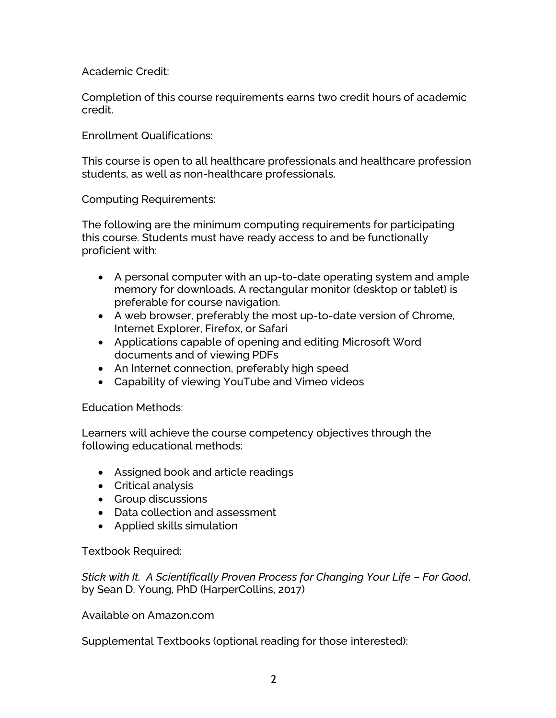Academic Credit:

Completion of this course requirements earns two credit hours of academic credit.

Enrollment Qualifications:

This course is open to all healthcare professionals and healthcare profession students, as well as non-healthcare professionals.

Computing Requirements:

The following are the minimum computing requirements for participating this course. Students must have ready access to and be functionally proficient with:

- A personal computer with an up-to-date operating system and ample memory for downloads. A rectangular monitor (desktop or tablet) is preferable for course navigation.
- A web browser, preferably the most up-to-date version of Chrome, Internet Explorer, Firefox, or Safari
- Applications capable of opening and editing Microsoft Word documents and of viewing PDFs
- An Internet connection, preferably high speed
- Capability of viewing YouTube and Vimeo videos

Education Methods:

Learners will achieve the course competency objectives through the following educational methods:

- Assigned book and article readings
- Critical analysis
- Group discussions
- Data collection and assessment
- Applied skills simulation

Textbook Required:

*Stick with It. A Scientifically Proven Process for Changing Your Life – For Good*, by Sean D. Young, PhD (HarperCollins, 2017)

Available on Amazon.com

Supplemental Textbooks (optional reading for those interested):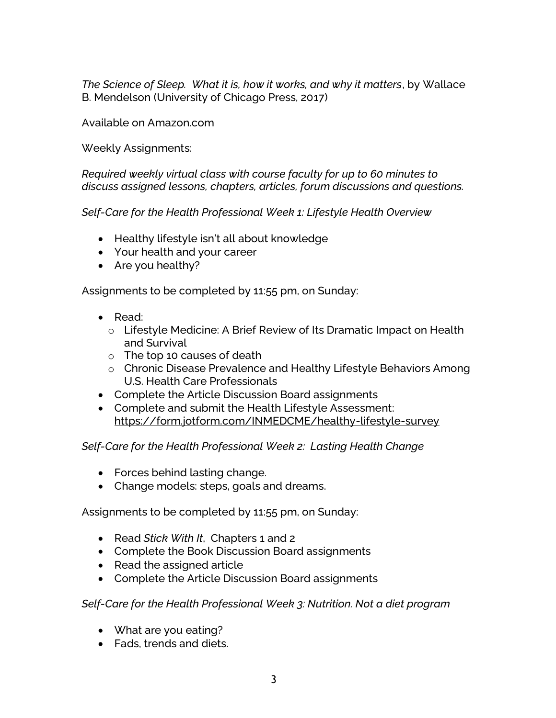*The Science of Sleep. What it is, how it works, and why it matters*, by Wallace B. Mendelson (University of Chicago Press, 2017)

Available on Amazon.com

Weekly Assignments:

*Required weekly virtual class with course faculty for up to 60 minutes to discuss assigned lessons, chapters, articles, forum discussions and questions.*

*Self-Care for the Health Professional Week 1: Lifestyle Health Overview*

- Healthy lifestyle isn't all about knowledge
- Your health and your career
- Are you healthy?

Assignments to be completed by 11:55 pm, on Sunday:

- Read:
	- o Lifestyle Medicine: A Brief Review of Its Dramatic Impact on Health and Survival
	- o The top 10 causes of death
	- o Chronic Disease Prevalence and Healthy Lifestyle Behaviors Among U.S. Health Care Professionals
- Complete the Article Discussion Board assignments
- Complete and submit the Health Lifestyle Assessment: <https://form.jotform.com/INMEDCME/healthy-lifestyle-survey>

*Self-Care for the Health Professional Week 2: Lasting Health Change*

- Forces behind lasting change.
- Change models: steps, goals and dreams.

Assignments to be completed by 11:55 pm, on Sunday:

- Read *Stick With It*, Chapters 1 and 2
- Complete the Book Discussion Board assignments
- Read the assigned article
- Complete the Article Discussion Board assignments

*Self-Care for the Health Professional Week 3: Nutrition. Not a diet program*

- What are you eating?
- Fads, trends and diets.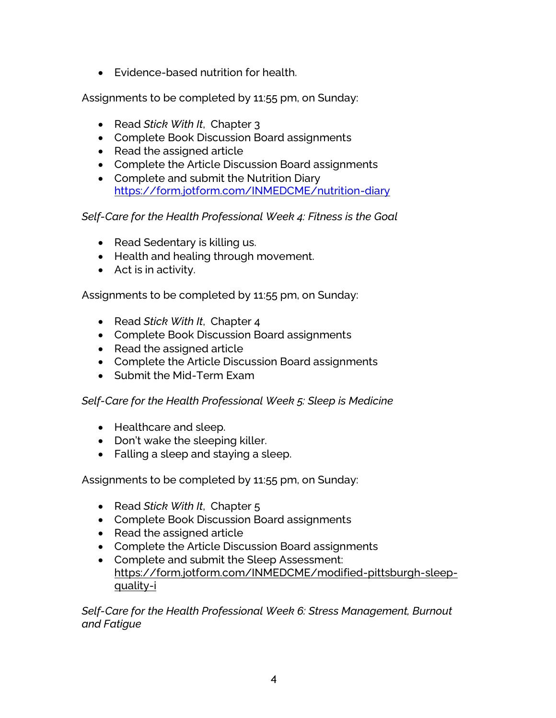• Evidence-based nutrition for health.

Assignments to be completed by 11:55 pm, on Sunday:

- Read *Stick With It*, Chapter 3
- Complete Book Discussion Board assignments
- Read the assigned article
- Complete the Article Discussion Board assignments
- Complete and submit the Nutrition Diary <https://form.jotform.com/INMEDCME/nutrition-diary>

# *Self-Care for the Health Professional Week 4: Fitness is the Goal*

- Read Sedentary is killing us.
- Health and healing through movement.
- Act is in activity.

Assignments to be completed by 11:55 pm, on Sunday:

- Read *Stick With It*, Chapter 4
- Complete Book Discussion Board assignments
- Read the assigned article
- Complete the Article Discussion Board assignments
- Submit the Mid-Term Exam

# *Self-Care for the Health Professional Week 5: Sleep is Medicine*

- Healthcare and sleep.
- Don't wake the sleeping killer.
- Falling a sleep and staying a sleep.

Assignments to be completed by 11:55 pm, on Sunday:

- Read *Stick With It*, Chapter 5
- Complete Book Discussion Board assignments
- Read the assigned article
- Complete the Article Discussion Board assignments
- Complete and submit the Sleep Assessment: [https://form.jotform.com/INMEDCME/modified-pittsburgh-sleep](https://form.jotform.com/INMEDCME/modified-pittsburgh-sleep-quality-i)[quality-i](https://form.jotform.com/INMEDCME/modified-pittsburgh-sleep-quality-i)

*Self-Care for the Health Professional Week 6: Stress Management, Burnout and Fatigue*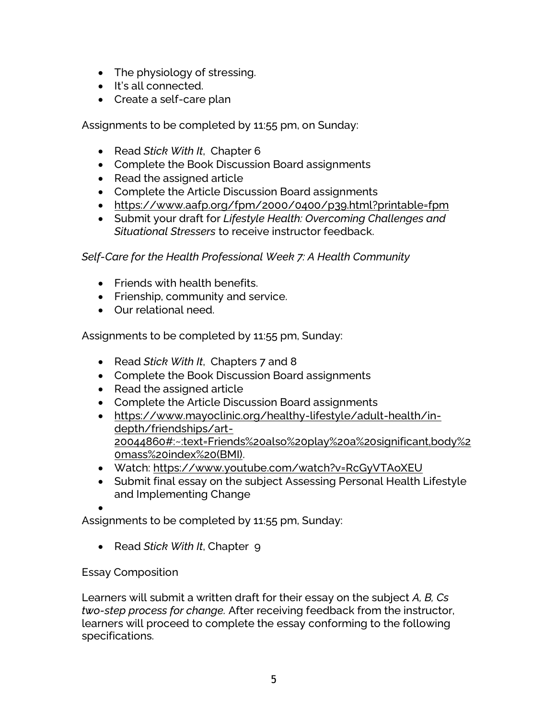- The physiology of stressing.
- It's all connected.
- Create a self-care plan

Assignments to be completed by 11:55 pm, on Sunday:

- Read *Stick With It*, Chapter 6
- Complete the Book Discussion Board assignments
- Read the assigned article
- Complete the Article Discussion Board assignments
- <https://www.aafp.org/fpm/2000/0400/p39.html?printable=fpm>
- Submit your draft for *Lifestyle Health: Overcoming Challenges and Situational Stressers* to receive instructor feedback.

# *Self-Care for the Health Professional Week 7: A Health Community*

- Friends with health benefits.
- Frienship, community and service.
- Our relational need.

Assignments to be completed by 11:55 pm, Sunday:

- Read *Stick With It*, Chapters 7 and 8
- Complete the Book Discussion Board assignments
- Read the assigned article
- Complete the Article Discussion Board assignments
- [https://www.mayoclinic.org/healthy-lifestyle/adult-health/in](https://www.mayoclinic.org/healthy-lifestyle/adult-health/in-depth/friendships/art-20044860#:~:text=Friends%20also%20play%20a%20significant,body%20mass%20index%20(BMI))[depth/friendships/art-](https://www.mayoclinic.org/healthy-lifestyle/adult-health/in-depth/friendships/art-20044860#:~:text=Friends%20also%20play%20a%20significant,body%20mass%20index%20(BMI))[20044860#:~:text=Friends%20also%20play%20a%20significant,body%2](https://www.mayoclinic.org/healthy-lifestyle/adult-health/in-depth/friendships/art-20044860#:~:text=Friends%20also%20play%20a%20significant,body%20mass%20index%20(BMI)) [0mass%20index%20\(BMI\).](https://www.mayoclinic.org/healthy-lifestyle/adult-health/in-depth/friendships/art-20044860#:~:text=Friends%20also%20play%20a%20significant,body%20mass%20index%20(BMI))
- Watch:<https://www.youtube.com/watch?v=RcGyVTAoXEU>
- Submit final essay on the subject Assessing Personal Health Lifestyle and Implementing Change

•

Assignments to be completed by 11:55 pm, Sunday:

• Read *Stick With It*, Chapter 9

# Essay Composition

Learners will submit a written draft for their essay on the subject *A, B, Cs two-step process for change.* After receiving feedback from the instructor, learners will proceed to complete the essay conforming to the following specifications.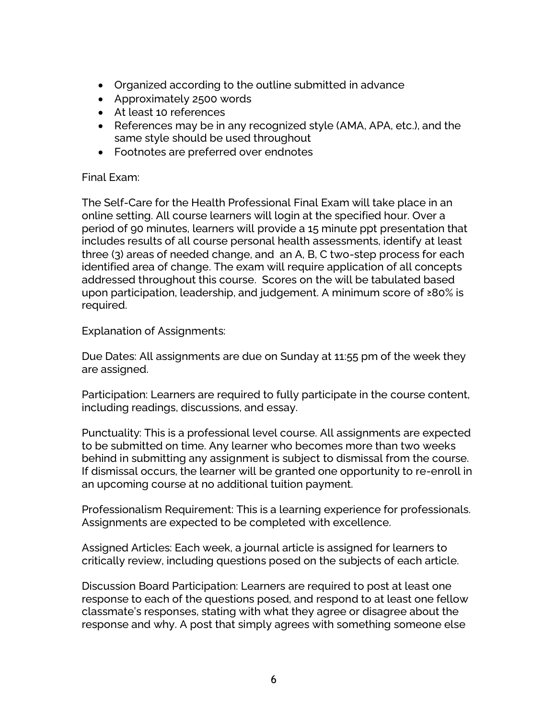- Organized according to the outline submitted in advance
- Approximately 2500 words
- At least 10 references
- References may be in any recognized style (AMA, APA, etc.), and the same style should be used throughout
- Footnotes are preferred over endnotes

### Final Exam:

The Self-Care for the Health Professional Final Exam will take place in an online setting. All course learners will login at the specified hour. Over a period of 90 minutes, learners will provide a 15 minute ppt presentation that includes results of all course personal health assessments, identify at least three (3) areas of needed change, and an A, B, C two-step process for each identified area of change. The exam will require application of all concepts addressed throughout this course. Scores on the will be tabulated based upon participation, leadership, and judgement. A minimum score of ≥80% is required.

Explanation of Assignments:

Due Dates: All assignments are due on Sunday at 11:55 pm of the week they are assigned.

Participation: Learners are required to fully participate in the course content, including readings, discussions, and essay.

Punctuality: This is a professional level course. All assignments are expected to be submitted on time. Any learner who becomes more than two weeks behind in submitting any assignment is subject to dismissal from the course. If dismissal occurs, the learner will be granted one opportunity to re-enroll in an upcoming course at no additional tuition payment.

Professionalism Requirement: This is a learning experience for professionals. Assignments are expected to be completed with excellence.

Assigned Articles: Each week, a journal article is assigned for learners to critically review, including questions posed on the subjects of each article.

Discussion Board Participation: Learners are required to post at least one response to each of the questions posed, and respond to at least one fellow classmate's responses, stating with what they agree or disagree about the response and why. A post that simply agrees with something someone else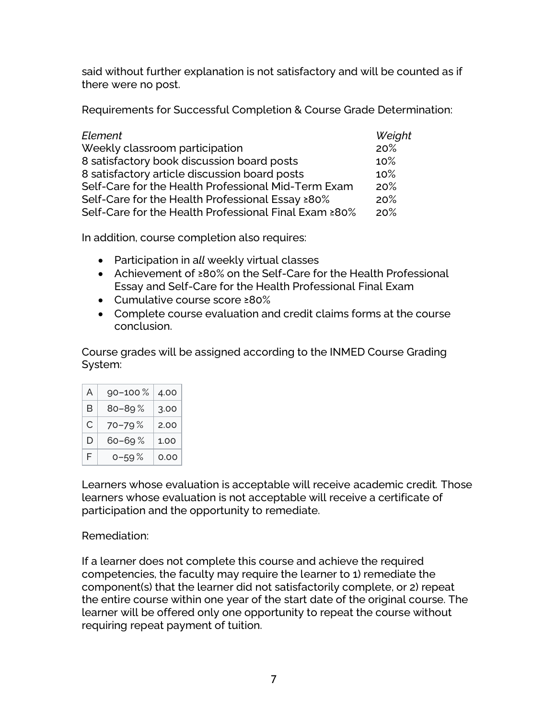said without further explanation is not satisfactory and will be counted as if there were no post.

Requirements for Successful Completion & Course Grade Determination:

| Element                                               | Weight |
|-------------------------------------------------------|--------|
| Weekly classroom participation                        | 20%    |
| 8 satisfactory book discussion board posts            | 10%    |
| 8 satisfactory article discussion board posts         | 10%    |
| Self-Care for the Health Professional Mid-Term Exam   | 20%    |
| Self-Care for the Health Professional Essay ≥80%      | 20%    |
| Self-Care for the Health Professional Final Exam ≥80% | 20%    |

In addition, course completion also requires:

- Participation in a*ll* weekly virtual classes
- Achievement of ≥80% on the Self-Care for the Health Professional Essay and Self-Care for the Health Professional Final Exam
- Cumulative course score ≥80%
- Complete course evaluation and credit claims forms at the course conclusion.

Course grades will be assigned according to the INMED Course Grading System:

| A | $90 - 100 \%$ | 4.00 |
|---|---------------|------|
| в | $80 - 89%$    | 3.00 |
| C | 70-79%        | 2.00 |
| D | 60–69 %       | 1.00 |
| F | $0 - 59\%$    | 0.00 |

Learners whose evaluation is acceptable will receive academic credit*.* Those learners whose evaluation is not acceptable will receive a certificate of participation and the opportunity to remediate.

# Remediation:

If a learner does not complete this course and achieve the required competencies, the faculty may require the learner to 1) remediate the component(s) that the learner did not satisfactorily complete, or 2) repeat the entire course within one year of the start date of the original course. The learner will be offered only one opportunity to repeat the course without requiring repeat payment of tuition.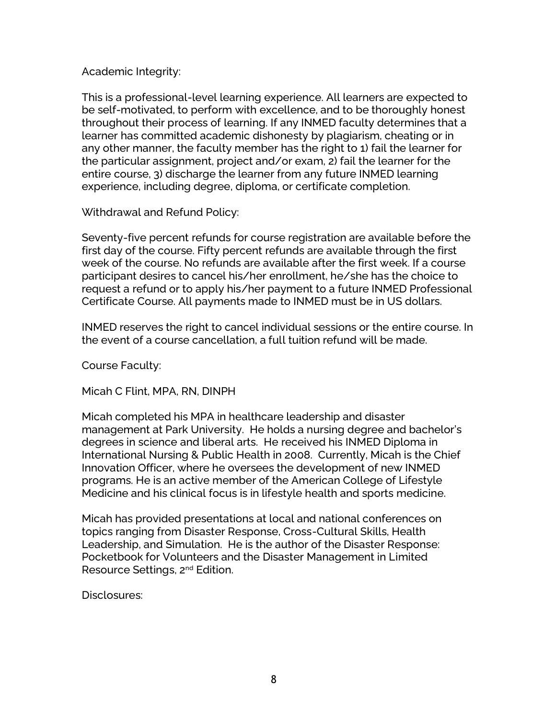### Academic Integrity:

This is a professional-level learning experience. All learners are expected to be self-motivated, to perform with excellence, and to be thoroughly honest throughout their process of learning. If any INMED faculty determines that a learner has committed academic dishonesty by plagiarism, cheating or in any other manner, the faculty member has the right to 1) fail the learner for the particular assignment, project and/or exam, 2) fail the learner for the entire course, 3) discharge the learner from any future INMED learning experience, including degree, diploma, or certificate completion.

Withdrawal and Refund Policy:

Seventy-five percent refunds for course registration are available before the first day of the course. Fifty percent refunds are available through the first week of the course. No refunds are available after the first week. If a course participant desires to cancel his/her enrollment, he/she has the choice to request a refund or to apply his/her payment to a future INMED Professional Certificate Course. All payments made to INMED must be in US dollars.

INMED reserves the right to cancel individual sessions or the entire course. In the event of a course cancellation, a full tuition refund will be made.

Course Faculty:

Micah C Flint, MPA, RN, DINPH

Micah completed his MPA in healthcare leadership and disaster management at Park University. He holds a nursing degree and bachelor's degrees in science and liberal arts. He received his INMED Diploma in International Nursing & Public Health in 2008. Currently, Micah is the Chief Innovation Officer, where he oversees the development of new INMED programs. He is an active member of the American College of Lifestyle Medicine and his clinical focus is in lifestyle health and sports medicine.

Micah has provided presentations at local and national conferences on topics ranging from Disaster Response, Cross-Cultural Skills, Health Leadership, and Simulation. He is the author of the Disaster Response: Pocketbook for Volunteers and the Disaster Management in Limited Resource Settings, 2nd Edition.

Disclosures: